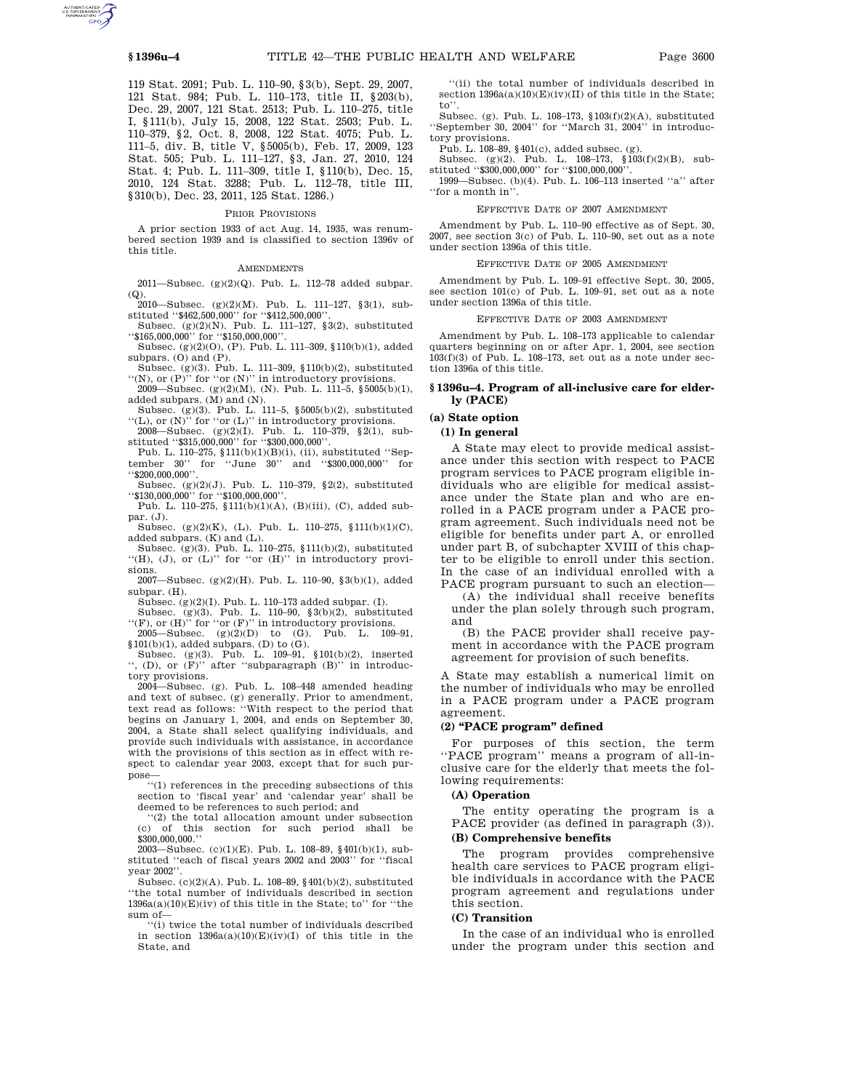119 Stat. 2091; Pub. L. 110–90, §3(b), Sept. 29, 2007, 121 Stat. 984; Pub. L. 110–173, title II, §203(b), Dec. 29, 2007, 121 Stat. 2513; Pub. L. 110–275, title I, §111(b), July 15, 2008, 122 Stat. 2503; Pub. L. 110–379, §2, Oct. 8, 2008, 122 Stat. 4075; Pub. L. 111–5, div. B, title V, §5005(b), Feb. 17, 2009, 123 Stat. 505; Pub. L. 111–127, §3, Jan. 27, 2010, 124 Stat. 4; Pub. L. 111–309, title I, §110(b), Dec. 15, 2010, 124 Stat. 3288; Pub. L. 112–78, title III, §310(b), Dec. 23, 2011, 125 Stat. 1286.)

#### PRIOR PROVISIONS

A prior section 1933 of act Aug. 14, 1935, was renumbered section 1939 and is classified to section 1396v of this title.

#### **AMENDMENTS**

2011—Subsec.  $(g)(2)(Q)$ . Pub. L. 112–78 added subpar. (Q). 2010—Subsec. (g)(2)(M). Pub. L. 111–127, §3(1), sub-

stituted ''\$462,500,000'' for ''\$412,500,000''.

Subsec. (g)(2)(N). Pub. L. 111–127, §3(2), substituted ''\$165,000,000'' for ''\$150,000,000''. Subsec. (g)(2)(O), (P). Pub. L. 111–309, §110(b)(1), added

subpars. (O) and (P). Subsec. (g)(3). Pub. L. 111–309, §110(b)(2), substituted

 $\langle \langle N \rangle \rangle$ , or (P)" for "or (N)" in introductory provisions.

2009—Subsec. (g)(2)(M), (N). Pub. L. 111–5,  $$5005(b)(1)$ , added subpars. (M) and (N).

Subsec. (g)(3). Pub. L. 111–5, §5005(b)(2), substituted "(L), or  $(N)$ " for "or  $(L)$ " in introductory provisions.

2008—Subsec. (g)(2)(I). Pub. L. 110–379, §2(1), substituted ''\$315,000,000'' for ''\$300,000,000''.

Pub. L. 110–275, §111(b)(1)(B)(i), (ii), substituted ''September 30'' for ''June 30'' and ''\$300,000,000'' for ''\$200,000,000''.

Subsec. (g)(2)(J). Pub. L. 110–379, §2(2), substituted ''\$130,000,000'' for ''\$100,000,000''. Pub. L. 110–275, §111(b)(1)(A), (B)(iii), (C), added sub-

par. (J).

Subsec. (g)(2)(K), (L). Pub. L. 110–275, §111(b)(1)(C), added subpars. (K) and (L).

Subsec. (g)(3). Pub. L. 110–275, §111(b)(2), substituted  $``(H), (J),$  or  $(L)"$  for "or  $(H)"$  in introductory provisions.

2007—Subsec. (g)(2)(H). Pub. L. 110–90, §3(b)(1), added subpar. (H).

Subsec. (g)(2)(I). Pub. L. 110–173 added subpar. (I).

Subsec. (g)(3). Pub. L. 110–90, §3(b)(2), substituted  $``(F)$ , or  $(H)"$  for "or  $(F)"$  in introductory provisions.

2005—Subsec.  $(g)(2)(D)$  to  $(G)$ . Pub. L. 109-91,  $$101(b)(1),$  added subpars. (D) to (G).<br>Subsec. (g)(3). Pub. L. 109–91,  $$101(b)(2),$  inserted

'', (D), or (F)'' after ''subparagraph (B)'' in introductory provisions.

 $2004$ —Subsec. (g). Pub. L. 108–448 amended heading and text of subsec. (g) generally. Prior to amendment, text read as follows: ''With respect to the period that begins on January 1, 2004, and ends on September 30, 2004, a State shall select qualifying individuals, and provide such individuals with assistance, in accordance with the provisions of this section as in effect with respect to calendar year 2003, except that for such purpose—

''(1) references in the preceding subsections of this section to 'fiscal year' and 'calendar year' shall be deemed to be references to such period; and

''(2) the total allocation amount under subsection (c) of this section for such period shall be \$300,000,000.''

2003—Subsec. (c)(1)(E). Pub. L. 108–89, §401(b)(1), substituted ''each of fiscal years 2002 and 2003'' for ''fiscal year 2002''.

Subsec. (c)(2)(A). Pub. L. 108–89, §401(b)(2), substituted ''the total number of individuals described in section  $1396a(a)(10)(E)(iv)$  of this title in the State; to" for "the sum of—

''(i) twice the total number of individuals described in section  $1396a(a)(10)(E)(iv)(I)$  of this title in the State, and

''(ii) the total number of individuals described in section  $1396a(a)(10)(E)(iv)(II)$  of this title in the State; to''.

Subsec. (g). Pub. L. 108–173, §103(f)(2)(A), substituted ''September 30, 2004'' for ''March 31, 2004'' in introductory provisions.

Pub. L. 108–89, §401(c), added subsec. (g). Subsec. (g)(2). Pub. L. 108–173, §103(f)(2)(B), substituted ''\$300,000,000'' for ''\$100,000,000''.

1999—Subsec. (b)(4). Pub. L. 106–113 inserted ''a'' after ''for a month in''.

#### EFFECTIVE DATE OF 2007 AMENDMENT

Amendment by Pub. L. 110–90 effective as of Sept. 30, 2007, see section 3(c) of Pub. L. 110–90, set out as a note under section 1396a of this title.

#### EFFECTIVE DATE OF 2005 AMENDMENT

Amendment by Pub. L. 109–91 effective Sept. 30, 2005, see section 101(c) of Pub. L. 109-91, set out as a note under section 1396a of this title.

#### EFFECTIVE DATE OF 2003 AMENDMENT

Amendment by Pub. L. 108–173 applicable to calendar quarters beginning on or after Apr. 1, 2004, see section  $103(f)(3)$  of Pub. L. 108–173, set out as a note under section 1396a of this title.

#### **§ 1396u–4. Program of all-inclusive care for elderly (PACE)**

# **(a) State option**

# **(1) In general**

A State may elect to provide medical assistance under this section with respect to PACE program services to PACE program eligible individuals who are eligible for medical assistance under the State plan and who are enrolled in a PACE program under a PACE program agreement. Such individuals need not be eligible for benefits under part A, or enrolled under part B, of subchapter XVIII of this chapter to be eligible to enroll under this section. In the case of an individual enrolled with a PACE program pursuant to such an election—

(A) the individual shall receive benefits under the plan solely through such program, and

(B) the PACE provider shall receive payment in accordance with the PACE program agreement for provision of such benefits.

A State may establish a numerical limit on the number of individuals who may be enrolled in a PACE program under a PACE program agreement.

# **(2) ''PACE program'' defined**

For purposes of this section, the term ''PACE program'' means a program of all-inclusive care for the elderly that meets the following requirements:

#### **(A) Operation**

The entity operating the program is a PACE provider (as defined in paragraph (3)).

# **(B) Comprehensive benefits**

The program provides comprehensive health care services to PACE program eligible individuals in accordance with the PACE program agreement and regulations under this section.

#### **(C) Transition**

In the case of an individual who is enrolled under the program under this section and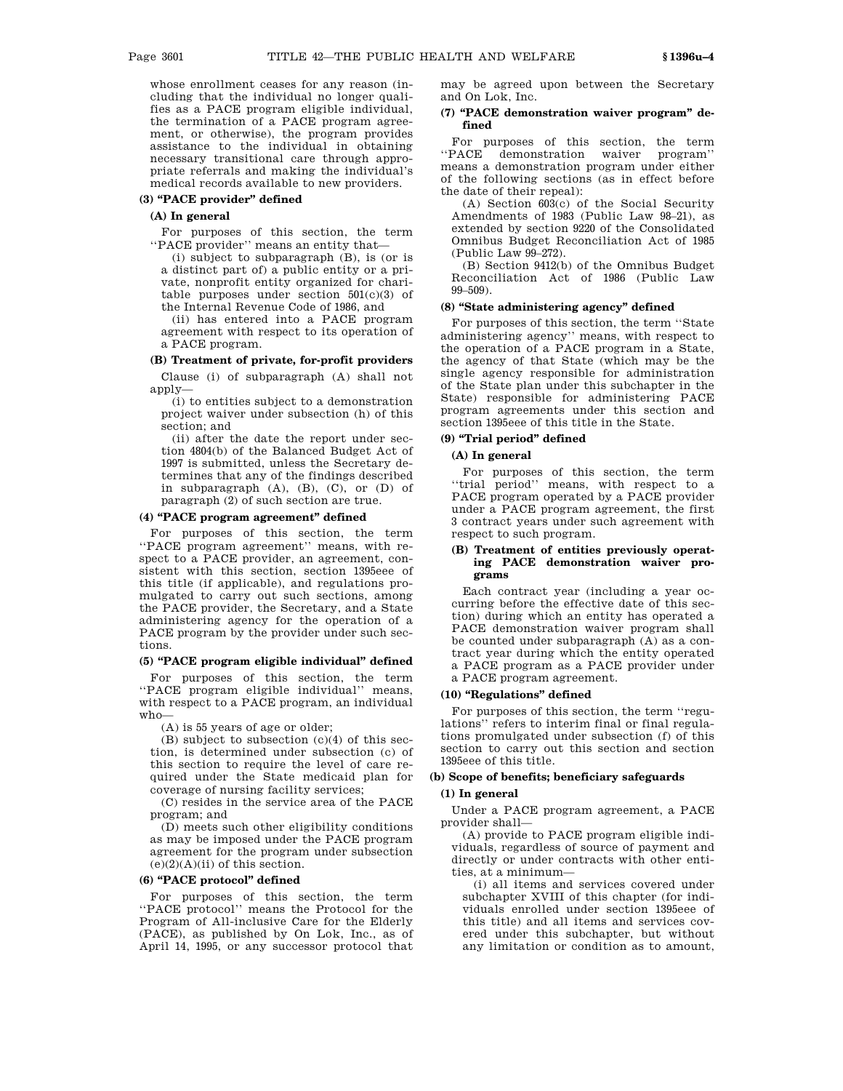whose enrollment ceases for any reason (including that the individual no longer qualifies as a PACE program eligible individual, the termination of a PACE program agreement, or otherwise), the program provides assistance to the individual in obtaining necessary transitional care through appropriate referrals and making the individual's medical records available to new providers.

#### **(3) ''PACE provider'' defined**

#### **(A) In general**

For purposes of this section, the term ''PACE provider'' means an entity that—

(i) subject to subparagraph (B), is (or is a distinct part of) a public entity or a private, nonprofit entity organized for charitable purposes under section  $501(c)(3)$  of the Internal Revenue Code of 1986, and

(ii) has entered into a PACE program agreement with respect to its operation of a PACE program.

# **(B) Treatment of private, for-profit providers**

Clause (i) of subparagraph (A) shall not apply—

(i) to entities subject to a demonstration project waiver under subsection (h) of this section; and

(ii) after the date the report under section 4804(b) of the Balanced Budget Act of 1997 is submitted, unless the Secretary determines that any of the findings described in subparagraph  $(A)$ ,  $(B)$ ,  $(C)$ , or  $(D)$  of paragraph (2) of such section are true.

# **(4) ''PACE program agreement'' defined**

For purposes of this section, the term ''PACE program agreement'' means, with respect to a PACE provider, an agreement, consistent with this section, section 1395eee of this title (if applicable), and regulations promulgated to carry out such sections, among the PACE provider, the Secretary, and a State administering agency for the operation of a PACE program by the provider under such sections.

#### **(5) ''PACE program eligible individual'' defined**

For purposes of this section, the term ''PACE program eligible individual'' means, with respect to a PACE program, an individual who—

(A) is 55 years of age or older;

(B) subject to subsection (c)(4) of this section, is determined under subsection (c) of this section to require the level of care required under the State medicaid plan for coverage of nursing facility services;

(C) resides in the service area of the PACE program; and

(D) meets such other eligibility conditions as may be imposed under the PACE program agreement for the program under subsection  $(e)(2)(A)(ii)$  of this section.

# **(6) ''PACE protocol'' defined**

For purposes of this section, the term ''PACE protocol'' means the Protocol for the Program of All-inclusive Care for the Elderly (PACE), as published by On Lok, Inc., as of April 14, 1995, or any successor protocol that

may be agreed upon between the Secretary and On Lok, Inc.

# **(7) ''PACE demonstration waiver program'' defined**

For purposes of this section, the term ''PACE demonstration waiver program'' means a demonstration program under either of the following sections (as in effect before the date of their repeal):

(A) Section 603(c) of the Social Security Amendments of 1983 (Public Law 98–21), as extended by section 9220 of the Consolidated Omnibus Budget Reconciliation Act of 1985 (Public Law 99–272).

(B) Section 9412(b) of the Omnibus Budget Reconciliation Act of 1986 (Public Law 99–509).

# **(8) ''State administering agency'' defined**

For purposes of this section, the term ''State administering agency'' means, with respect to the operation of a PACE program in a State, the agency of that State (which may be the single agency responsible for administration of the State plan under this subchapter in the State) responsible for administering PACE program agreements under this section and section 1395eee of this title in the State.

# **(9) ''Trial period'' defined**

# **(A) In general**

For purposes of this section, the term ''trial period'' means, with respect to a PACE program operated by a PACE provider under a PACE program agreement, the first 3 contract years under such agreement with respect to such program.

## **(B) Treatment of entities previously operating PACE demonstration waiver programs**

Each contract year (including a year occurring before the effective date of this section) during which an entity has operated a PACE demonstration waiver program shall be counted under subparagraph (A) as a contract year during which the entity operated a PACE program as a PACE provider under a PACE program agreement.

#### **(10) ''Regulations'' defined**

For purposes of this section, the term ''regulations'' refers to interim final or final regulations promulgated under subsection (f) of this section to carry out this section and section 1395eee of this title.

# **(b) Scope of benefits; beneficiary safeguards**

# **(1) In general**

Under a PACE program agreement, a PACE provider shall—

(A) provide to PACE program eligible individuals, regardless of source of payment and directly or under contracts with other entities, at a minimum—

(i) all items and services covered under subchapter XVIII of this chapter (for individuals enrolled under section 1395eee of this title) and all items and services covered under this subchapter, but without any limitation or condition as to amount,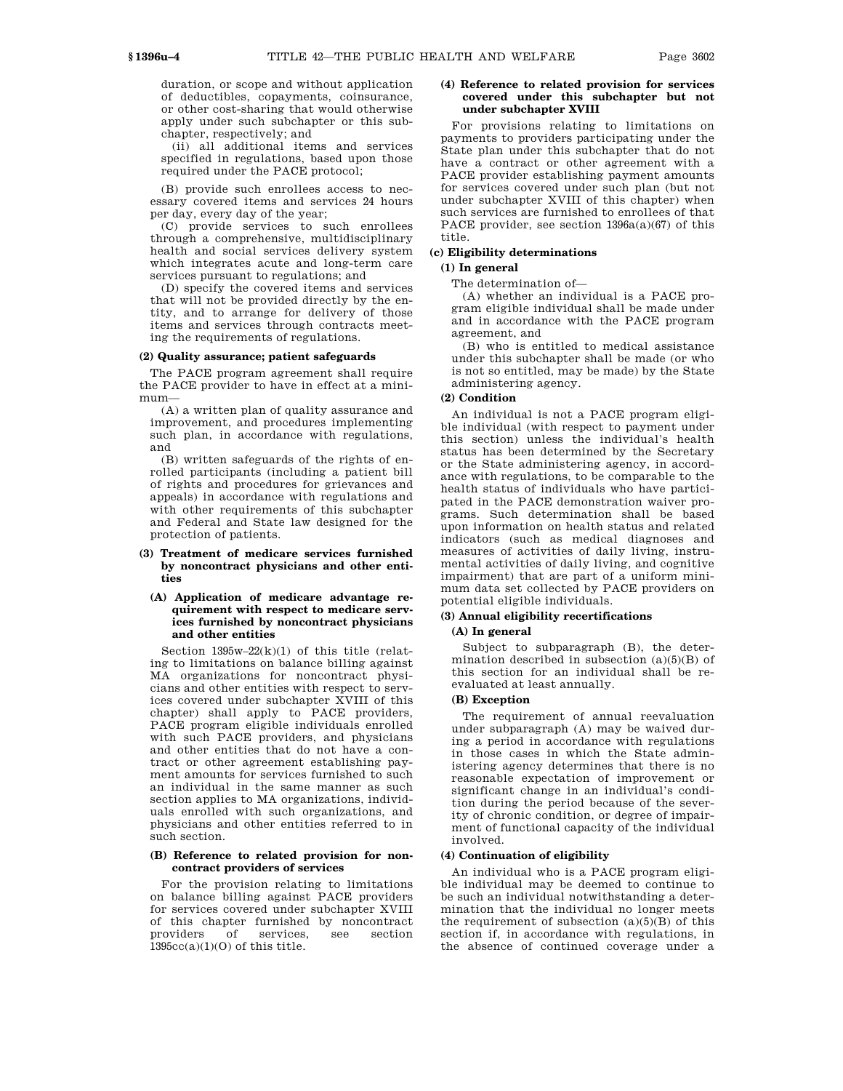duration, or scope and without application of deductibles, copayments, coinsurance, or other cost-sharing that would otherwise apply under such subchapter or this subchapter, respectively; and

(ii) all additional items and services specified in regulations, based upon those required under the PACE protocol;

(B) provide such enrollees access to necessary covered items and services 24 hours per day, every day of the year;

(C) provide services to such enrollees through a comprehensive, multidisciplinary health and social services delivery system which integrates acute and long-term care services pursuant to regulations; and

(D) specify the covered items and services that will not be provided directly by the entity, and to arrange for delivery of those items and services through contracts meeting the requirements of regulations.

#### **(2) Quality assurance; patient safeguards**

The PACE program agreement shall require the PACE provider to have in effect at a minimum—

(A) a written plan of quality assurance and improvement, and procedures implementing such plan, in accordance with regulations, and

(B) written safeguards of the rights of enrolled participants (including a patient bill of rights and procedures for grievances and appeals) in accordance with regulations and with other requirements of this subchapter and Federal and State law designed for the protection of patients.

# **(3) Treatment of medicare services furnished by noncontract physicians and other entities**

# **(A) Application of medicare advantage requirement with respect to medicare services furnished by noncontract physicians and other entities**

Section  $1395w-22(k)(1)$  of this title (relating to limitations on balance billing against MA organizations for noncontract physicians and other entities with respect to services covered under subchapter XVIII of this chapter) shall apply to PACE providers, PACE program eligible individuals enrolled with such PACE providers, and physicians and other entities that do not have a contract or other agreement establishing payment amounts for services furnished to such an individual in the same manner as such section applies to MA organizations, individuals enrolled with such organizations, and physicians and other entities referred to in such section.

# **(B) Reference to related provision for noncontract providers of services**

For the provision relating to limitations on balance billing against PACE providers for services covered under subchapter XVIII of this chapter furnished by noncontract providers of services, see section  $1395cc(a)(1)(O)$  of this title.

## **(4) Reference to related provision for services covered under this subchapter but not under subchapter XVIII**

For provisions relating to limitations on payments to providers participating under the State plan under this subchapter that do not have a contract or other agreement with a PACE provider establishing payment amounts for services covered under such plan (but not under subchapter XVIII of this chapter) when such services are furnished to enrollees of that PACE provider, see section 1396a(a)(67) of this title.

# **(c) Eligibility determinations**

#### **(1) In general**

# The determination of—

(A) whether an individual is a PACE program eligible individual shall be made under and in accordance with the PACE program agreement, and

(B) who is entitled to medical assistance under this subchapter shall be made (or who is not so entitled, may be made) by the State administering agency.

#### **(2) Condition**

An individual is not a PACE program eligible individual (with respect to payment under this section) unless the individual's health status has been determined by the Secretary or the State administering agency, in accordance with regulations, to be comparable to the health status of individuals who have participated in the PACE demonstration waiver programs. Such determination shall be based upon information on health status and related indicators (such as medical diagnoses and measures of activities of daily living, instrumental activities of daily living, and cognitive impairment) that are part of a uniform minimum data set collected by PACE providers on potential eligible individuals.

# **(3) Annual eligibility recertifications**

#### **(A) In general**

Subject to subparagraph (B), the determination described in subsection  $(a)(5)(B)$  of this section for an individual shall be reevaluated at least annually.

#### **(B) Exception**

The requirement of annual reevaluation under subparagraph (A) may be waived during a period in accordance with regulations in those cases in which the State administering agency determines that there is no reasonable expectation of improvement or significant change in an individual's condition during the period because of the severity of chronic condition, or degree of impairment of functional capacity of the individual involved.

# **(4) Continuation of eligibility**

An individual who is a PACE program eligible individual may be deemed to continue to be such an individual notwithstanding a determination that the individual no longer meets the requirement of subsection  $(a)(5)(B)$  of this section if, in accordance with regulations, in the absence of continued coverage under a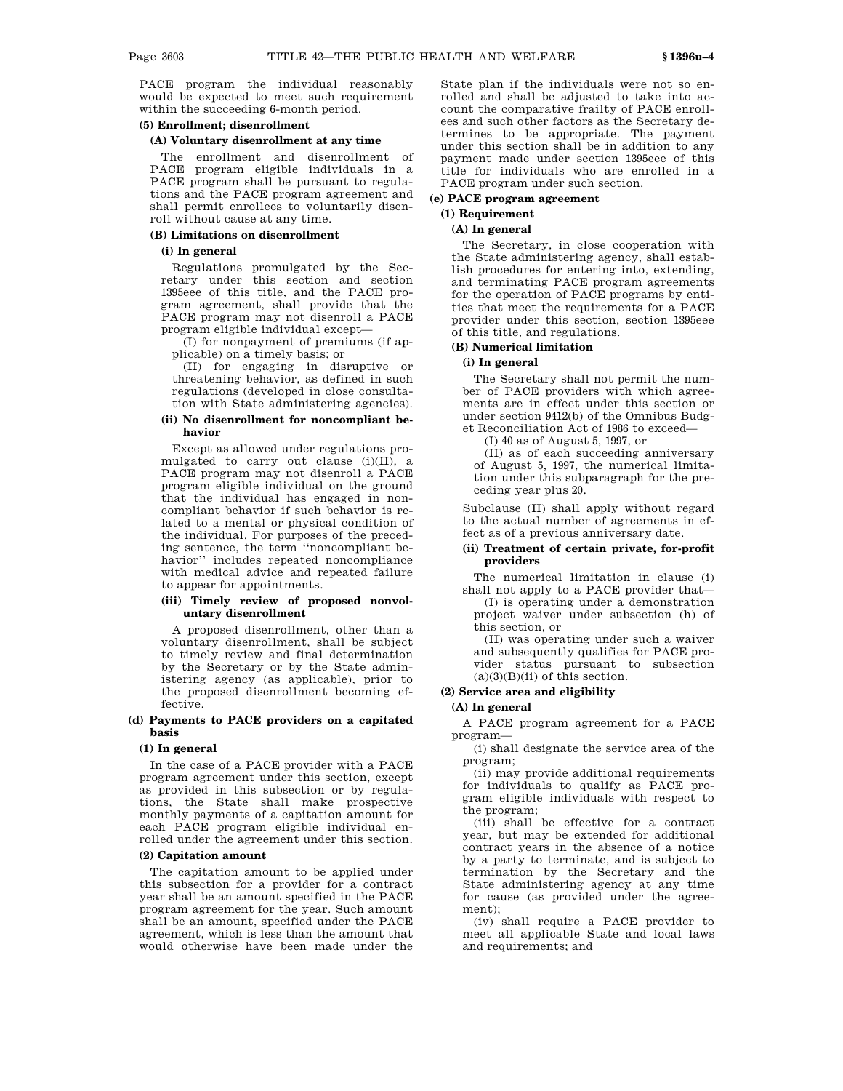PACE program the individual reasonably would be expected to meet such requirement within the succeeding 6-month period.

#### **(5) Enrollment; disenrollment**

#### **(A) Voluntary disenrollment at any time**

The enrollment and disenrollment of PACE program eligible individuals in a PACE program shall be pursuant to regulations and the PACE program agreement and shall permit enrollees to voluntarily disenroll without cause at any time.

# **(B) Limitations on disenrollment**

# **(i) In general**

Regulations promulgated by the Secretary under this section and section 1395eee of this title, and the PACE program agreement, shall provide that the PACE program may not disenroll a PACE program eligible individual except—

(I) for nonpayment of premiums (if applicable) on a timely basis; or

(II) for engaging in disruptive or threatening behavior, as defined in such regulations (developed in close consultation with State administering agencies).

#### **(ii) No disenrollment for noncompliant behavior**

Except as allowed under regulations promulgated to carry out clause (i)(II), a PACE program may not disenroll a PACE program eligible individual on the ground that the individual has engaged in noncompliant behavior if such behavior is related to a mental or physical condition of the individual. For purposes of the preceding sentence, the term ''noncompliant behavior'' includes repeated noncompliance with medical advice and repeated failure to appear for appointments.

# **(iii) Timely review of proposed nonvoluntary disenrollment**

A proposed disenrollment, other than a voluntary disenrollment, shall be subject to timely review and final determination by the Secretary or by the State administering agency (as applicable), prior to the proposed disenrollment becoming effective.

## **(d) Payments to PACE providers on a capitated basis**

#### **(1) In general**

In the case of a PACE provider with a PACE program agreement under this section, except as provided in this subsection or by regulations, the State shall make prospective monthly payments of a capitation amount for each PACE program eligible individual enrolled under the agreement under this section.

# **(2) Capitation amount**

The capitation amount to be applied under this subsection for a provider for a contract year shall be an amount specified in the PACE program agreement for the year. Such amount shall be an amount, specified under the PACE agreement, which is less than the amount that would otherwise have been made under the

State plan if the individuals were not so enrolled and shall be adjusted to take into account the comparative frailty of PACE enrollees and such other factors as the Secretary determines to be appropriate. The payment under this section shall be in addition to any payment made under section 1395eee of this title for individuals who are enrolled in a PACE program under such section.

#### **(e) PACE program agreement**

# **(1) Requirement**

# **(A) In general**

The Secretary, in close cooperation with the State administering agency, shall establish procedures for entering into, extending, and terminating PACE program agreements for the operation of PACE programs by entities that meet the requirements for a PACE provider under this section, section 1395eee of this title, and regulations.

# **(B) Numerical limitation**

# **(i) In general**

The Secretary shall not permit the number of PACE providers with which agreements are in effect under this section or under section 9412(b) of the Omnibus Budget Reconciliation Act of 1986 to exceed—

(I) 40 as of August 5, 1997, or

(II) as of each succeeding anniversary of August 5, 1997, the numerical limitation under this subparagraph for the preceding year plus 20.

Subclause (II) shall apply without regard to the actual number of agreements in effect as of a previous anniversary date.

#### **(ii) Treatment of certain private, for-profit providers**

The numerical limitation in clause (i) shall not apply to a PACE provider that—

(I) is operating under a demonstration project waiver under subsection (h) of this section, or

(II) was operating under such a waiver and subsequently qualifies for PACE provider status pursuant to subsection  $(a)(3)(B)(ii)$  of this section.

# **(2) Service area and eligibility**

#### **(A) In general**

A PACE program agreement for a PACE program—

(i) shall designate the service area of the program;

(ii) may provide additional requirements for individuals to qualify as PACE program eligible individuals with respect to the program;

(iii) shall be effective for a contract year, but may be extended for additional contract years in the absence of a notice by a party to terminate, and is subject to termination by the Secretary and the State administering agency at any time for cause (as provided under the agreement);

(iv) shall require a PACE provider to meet all applicable State and local laws and requirements; and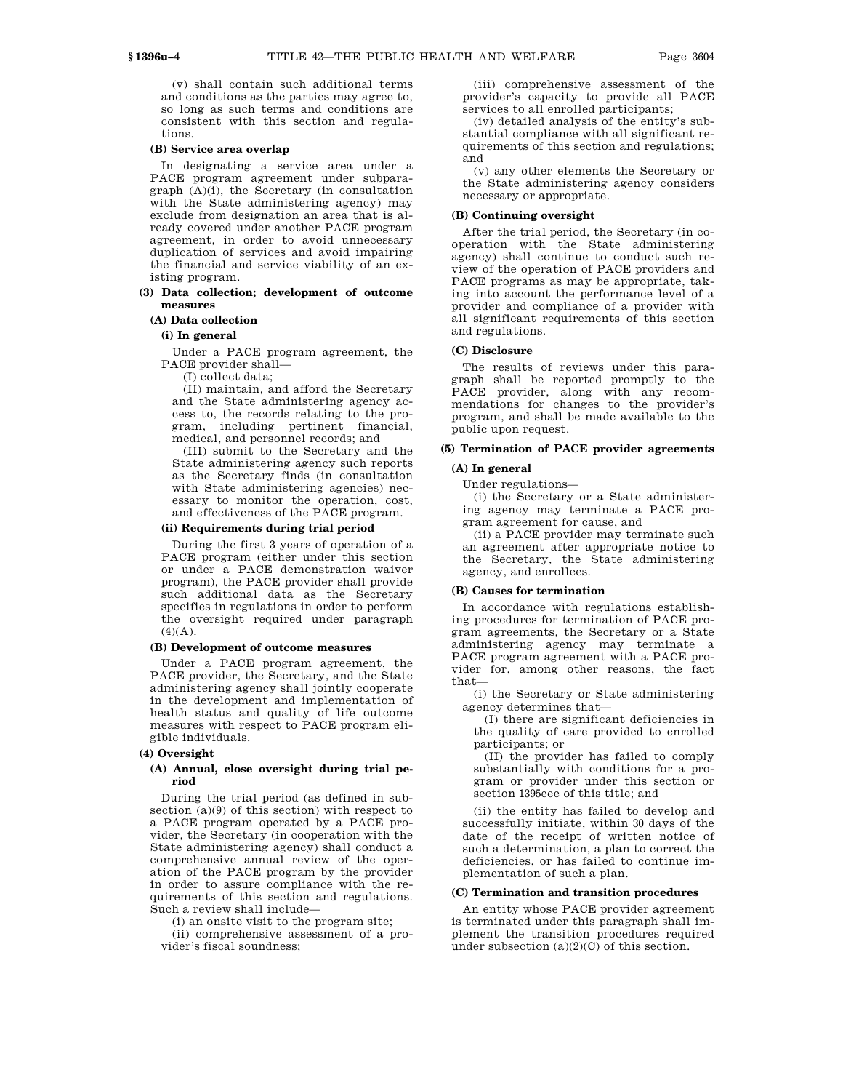(v) shall contain such additional terms and conditions as the parties may agree to, so long as such terms and conditions are consistent with this section and regulations.

# **(B) Service area overlap**

In designating a service area under a PACE program agreement under subparagraph (A)(i), the Secretary (in consultation with the State administering agency) may exclude from designation an area that is already covered under another PACE program agreement, in order to avoid unnecessary duplication of services and avoid impairing the financial and service viability of an existing program.

# **(3) Data collection; development of outcome measures**

# **(A) Data collection**

# **(i) In general**

Under a PACE program agreement, the PACE provider shall—

(I) collect data;

(II) maintain, and afford the Secretary and the State administering agency access to, the records relating to the program, including pertinent financial, medical, and personnel records; and

(III) submit to the Secretary and the State administering agency such reports as the Secretary finds (in consultation with State administering agencies) necessary to monitor the operation, cost, and effectiveness of the PACE program.

# **(ii) Requirements during trial period**

During the first 3 years of operation of a PACE program (either under this section or under a PACE demonstration waiver program), the PACE provider shall provide such additional data as the Secretary specifies in regulations in order to perform the oversight required under paragraph  $(4)(A)$ .

#### **(B) Development of outcome measures**

Under a PACE program agreement, the PACE provider, the Secretary, and the State administering agency shall jointly cooperate in the development and implementation of health status and quality of life outcome measures with respect to PACE program eligible individuals.

#### **(4) Oversight**

# **(A) Annual, close oversight during trial period**

During the trial period (as defined in subsection (a)(9) of this section) with respect to a PACE program operated by a PACE provider, the Secretary (in cooperation with the State administering agency) shall conduct a comprehensive annual review of the operation of the PACE program by the provider in order to assure compliance with the requirements of this section and regulations. Such a review shall include—

(i) an onsite visit to the program site;

(ii) comprehensive assessment of a provider's fiscal soundness;

(iii) comprehensive assessment of the provider's capacity to provide all PACE services to all enrolled participants;

(iv) detailed analysis of the entity's substantial compliance with all significant requirements of this section and regulations; and

(v) any other elements the Secretary or the State administering agency considers necessary or appropriate.

#### **(B) Continuing oversight**

After the trial period, the Secretary (in cooperation with the State administering agency) shall continue to conduct such review of the operation of PACE providers and PACE programs as may be appropriate, taking into account the performance level of a provider and compliance of a provider with all significant requirements of this section and regulations.

#### **(C) Disclosure**

The results of reviews under this paragraph shall be reported promptly to the PACE provider, along with any recommendations for changes to the provider's program, and shall be made available to the public upon request.

# **(5) Termination of PACE provider agreements**

# **(A) In general**

Under regulations—

(i) the Secretary or a State administering agency may terminate a PACE program agreement for cause, and

(ii) a PACE provider may terminate such an agreement after appropriate notice to the Secretary, the State administering agency, and enrollees.

#### **(B) Causes for termination**

In accordance with regulations establishing procedures for termination of PACE program agreements, the Secretary or a State administering agency may terminate a PACE program agreement with a PACE provider for, among other reasons, the fact that—

(i) the Secretary or State administering agency determines that—

(I) there are significant deficiencies in the quality of care provided to enrolled participants; or

(II) the provider has failed to comply substantially with conditions for a program or provider under this section or section 1395eee of this title; and

(ii) the entity has failed to develop and successfully initiate, within 30 days of the date of the receipt of written notice of such a determination, a plan to correct the deficiencies, or has failed to continue implementation of such a plan.

#### **(C) Termination and transition procedures**

An entity whose PACE provider agreement is terminated under this paragraph shall implement the transition procedures required under subsection (a)(2)(C) of this section.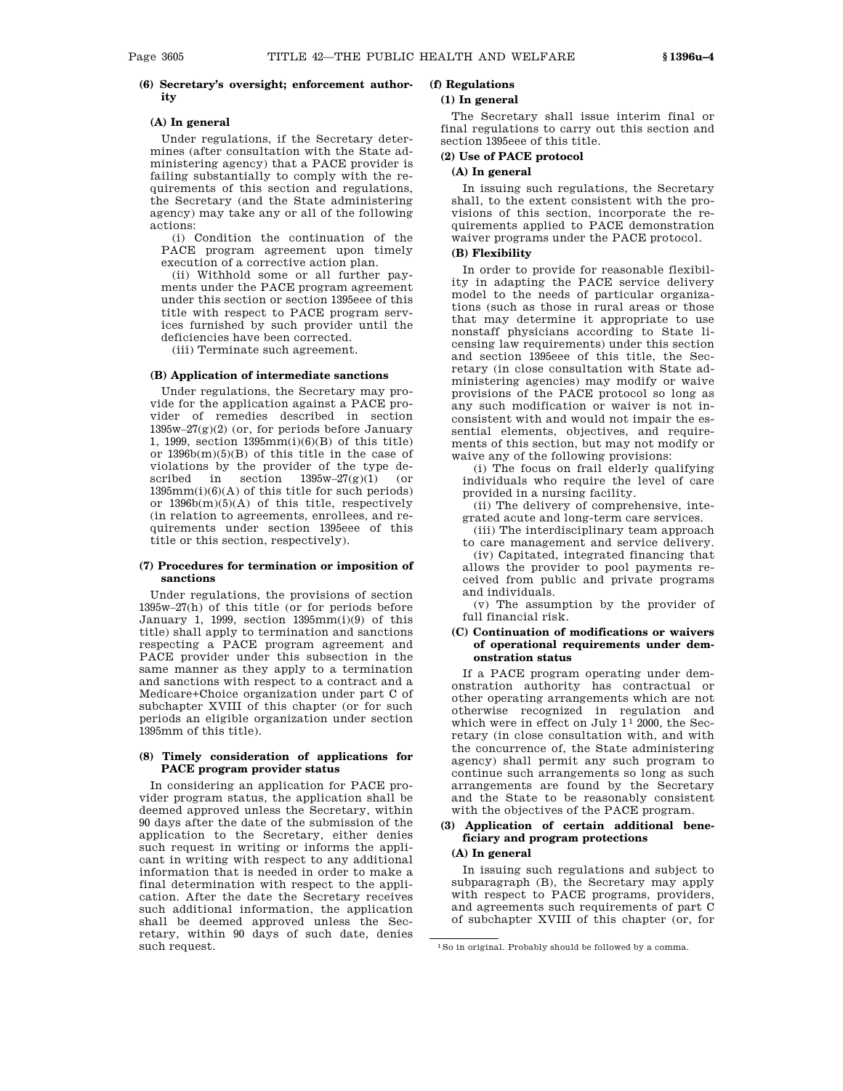# **(6) Secretary's oversight; enforcement authority**

# **(A) In general**

Under regulations, if the Secretary determines (after consultation with the State administering agency) that a PACE provider is failing substantially to comply with the requirements of this section and regulations, the Secretary (and the State administering agency) may take any or all of the following actions:

(i) Condition the continuation of the PACE program agreement upon timely execution of a corrective action plan.

(ii) Withhold some or all further payments under the PACE program agreement under this section or section 1395eee of this title with respect to PACE program services furnished by such provider until the deficiencies have been corrected.

(iii) Terminate such agreement.

#### **(B) Application of intermediate sanctions**

Under regulations, the Secretary may provide for the application against a PACE provider of remedies described in section  $1395w-27(g)(2)$  (or, for periods before January 1, 1999, section 1395mm(i)(6)(B) of this title) or 1396b(m)(5)(B) of this title in the case of violations by the provider of the type described in section 1395w–27(g)(1) (or  $1395mm(i)(6)(A)$  of this title for such periods) or 1396b(m)(5)(A) of this title, respectively (in relation to agreements, enrollees, and requirements under section 1395eee of this title or this section, respectively).

#### **(7) Procedures for termination or imposition of sanctions**

Under regulations, the provisions of section 1395w–27(h) of this title (or for periods before January 1, 1999, section  $1395mm(i)(9)$  of this title) shall apply to termination and sanctions respecting a PACE program agreement and PACE provider under this subsection in the same manner as they apply to a termination and sanctions with respect to a contract and a Medicare+Choice organization under part C of subchapter XVIII of this chapter (or for such periods an eligible organization under section 1395mm of this title).

# **(8) Timely consideration of applications for PACE program provider status**

In considering an application for PACE provider program status, the application shall be deemed approved unless the Secretary, within 90 days after the date of the submission of the application to the Secretary, either denies such request in writing or informs the applicant in writing with respect to any additional information that is needed in order to make a final determination with respect to the application. After the date the Secretary receives such additional information, the application shall be deemed approved unless the Secretary, within 90 days of such date, denies such request.

# **(f) Regulations (1) In general**

The Secretary shall issue interim final or final regulations to carry out this section and section 1395eee of this title.

# **(2) Use of PACE protocol**

# **(A) In general**

In issuing such regulations, the Secretary shall, to the extent consistent with the provisions of this section, incorporate the requirements applied to PACE demonstration waiver programs under the PACE protocol.

# **(B) Flexibility**

In order to provide for reasonable flexibility in adapting the PACE service delivery model to the needs of particular organizations (such as those in rural areas or those that may determine it appropriate to use nonstaff physicians according to State licensing law requirements) under this section and section 1395eee of this title, the Secretary (in close consultation with State administering agencies) may modify or waive provisions of the PACE protocol so long as any such modification or waiver is not inconsistent with and would not impair the essential elements, objectives, and requirements of this section, but may not modify or waive any of the following provisions:

(i) The focus on frail elderly qualifying individuals who require the level of care provided in a nursing facility.

(ii) The delivery of comprehensive, integrated acute and long-term care services.

(iii) The interdisciplinary team approach to care management and service delivery.

(iv) Capitated, integrated financing that allows the provider to pool payments received from public and private programs and individuals.

(v) The assumption by the provider of full financial risk.

#### **(C) Continuation of modifications or waivers of operational requirements under demonstration status**

If a PACE program operating under demonstration authority has contractual or other operating arrangements which are not otherwise recognized in regulation and which were in effect on July  $1<sup>1</sup>$  2000, the Secretary (in close consultation with, and with the concurrence of, the State administering agency) shall permit any such program to continue such arrangements so long as such arrangements are found by the Secretary and the State to be reasonably consistent with the objectives of the PACE program.

# **(3) Application of certain additional beneficiary and program protections**

# **(A) In general**

In issuing such regulations and subject to subparagraph (B), the Secretary may apply with respect to PACE programs, providers, and agreements such requirements of part C of subchapter XVIII of this chapter (or, for

<sup>1</sup>So in original. Probably should be followed by a comma.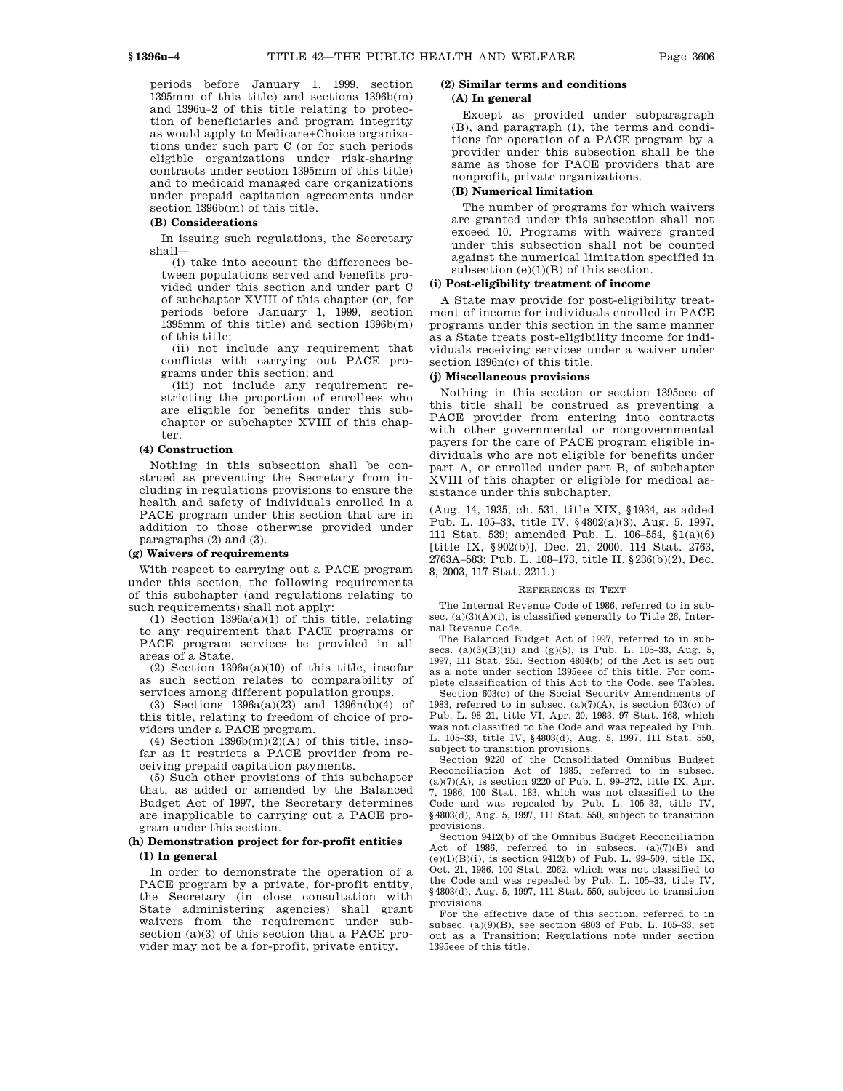periods before January 1, 1999, section 1395mm of this title) and sections 1396b(m) and 1396u–2 of this title relating to protection of beneficiaries and program integrity as would apply to Medicare+Choice organizations under such part C (or for such periods eligible organizations under risk-sharing contracts under section 1395mm of this title) and to medicaid managed care organizations under prepaid capitation agreements under section 1396b(m) of this title.

#### **(B) Considerations**

In issuing such regulations, the Secretary shall—

(i) take into account the differences between populations served and benefits provided under this section and under part C of subchapter XVIII of this chapter (or, for periods before January 1, 1999, section 1395mm of this title) and section 1396b(m) of this title;

(ii) not include any requirement that conflicts with carrying out PACE programs under this section; and

(iii) not include any requirement restricting the proportion of enrollees who are eligible for benefits under this subchapter or subchapter XVIII of this chapter.

#### **(4) Construction**

Nothing in this subsection shall be construed as preventing the Secretary from including in regulations provisions to ensure the health and safety of individuals enrolled in a PACE program under this section that are in addition to those otherwise provided under paragraphs (2) and (3).

#### **(g) Waivers of requirements**

With respect to carrying out a PACE program under this section, the following requirements of this subchapter (and regulations relating to such requirements) shall not apply:

(1) Section 1396a(a)(1) of this title, relating to any requirement that PACE programs or PACE program services be provided in all areas of a State.

(2) Section  $1396a(a)(10)$  of this title, insofar as such section relates to comparability of services among different population groups.

(3) Sections  $1396a(a)(23)$  and  $1396n(b)(4)$  of this title, relating to freedom of choice of providers under a PACE program.

(4) Section  $1396b(m)(2)(A)$  of this title, insofar as it restricts a PACE provider from receiving prepaid capitation payments.

(5) Such other provisions of this subchapter that, as added or amended by the Balanced Budget Act of 1997, the Secretary determines are inapplicable to carrying out a PACE program under this section.

#### **(h) Demonstration project for for-profit entities (1) In general**

In order to demonstrate the operation of a PACE program by a private, for-profit entity, the Secretary (in close consultation with State administering agencies) shall grant waivers from the requirement under subsection (a)(3) of this section that a PACE provider may not be a for-profit, private entity.

# **(2) Similar terms and conditions**

# **(A) In general**

Except as provided under subparagraph (B), and paragraph (1), the terms and conditions for operation of a PACE program by a provider under this subsection shall be the same as those for PACE providers that are nonprofit, private organizations.

#### **(B) Numerical limitation**

The number of programs for which waivers are granted under this subsection shall not exceed 10. Programs with waivers granted under this subsection shall not be counted against the numerical limitation specified in subsection  $(e)(1)(B)$  of this section.

# **(i) Post-eligibility treatment of income**

A State may provide for post-eligibility treatment of income for individuals enrolled in PACE programs under this section in the same manner as a State treats post-eligibility income for individuals receiving services under a waiver under section 1396n(c) of this title.

#### **(j) Miscellaneous provisions**

Nothing in this section or section 1395eee of this title shall be construed as preventing a PACE provider from entering into contracts with other governmental or nongovernmental payers for the care of PACE program eligible individuals who are not eligible for benefits under part A, or enrolled under part B, of subchapter XVIII of this chapter or eligible for medical assistance under this subchapter.

(Aug. 14, 1935, ch. 531, title XIX, §1934, as added Pub. L. 105–33, title IV, §4802(a)(3), Aug. 5, 1997, 111 Stat. 539; amended Pub. L. 106–554, §1(a)(6) [title IX, §902(b)], Dec. 21, 2000, 114 Stat. 2763, 2763A–583; Pub. L. 108–173, title II, §236(b)(2), Dec. 8, 2003, 117 Stat. 2211.)

#### REFERENCES IN TEXT

The Internal Revenue Code of 1986, referred to in subsec.  $(a)(3)(A)(i)$ , is classified generally to Title 26, Internal Revenue Code.

The Balanced Budget Act of 1997, referred to in subsecs. (a)(3)(B)(ii) and (g)(5), is Pub. L. 105–33, Aug. 5, 1997, 111 Stat. 251. Section 4804(b) of the Act is set out as a note under section 1395eee of this title. For complete classification of this Act to the Code, see Tables.

Section 603(c) of the Social Security Amendments of 1983, referred to in subsec.  $(a)(7)(A)$ , is section 603 $(c)$  of Pub. L. 98–21, title VI, Apr. 20, 1983, 97 Stat. 168, which was not classified to the Code and was repealed by Pub. L. 105–33, title IV, §4803(d), Aug. 5, 1997, 111 Stat. 550, subject to transition provisions.

Section 9220 of the Consolidated Omnibus Budget Reconciliation Act of 1985, referred to in subsec.  $(a)(7)(A)$ , is section 9220 of Pub. L. 99-272, title IX, Apr. 7, 1986, 100 Stat. 183, which was not classified to the Code and was repealed by Pub. L. 105–33, title IV, §4803(d), Aug. 5, 1997, 111 Stat. 550, subject to transition provisions.

Section 9412(b) of the Omnibus Budget Reconciliation Act of 1986, referred to in subsecs. (a)(7)(B) and  $(e)(1)(B)(i)$ , is section 9412(b) of Pub. L. 99-509, title IX, Oct. 21, 1986, 100 Stat. 2062, which was not classified to the Code and was repealed by Pub. L. 105–33, title IV, §4803(d), Aug. 5, 1997, 111 Stat. 550, subject to transition provisions.

For the effective date of this section, referred to in subsec. (a)(9)(B), see section 4803 of Pub. L. 105–33, set out as a Transition; Regulations note under section 1395eee of this title.